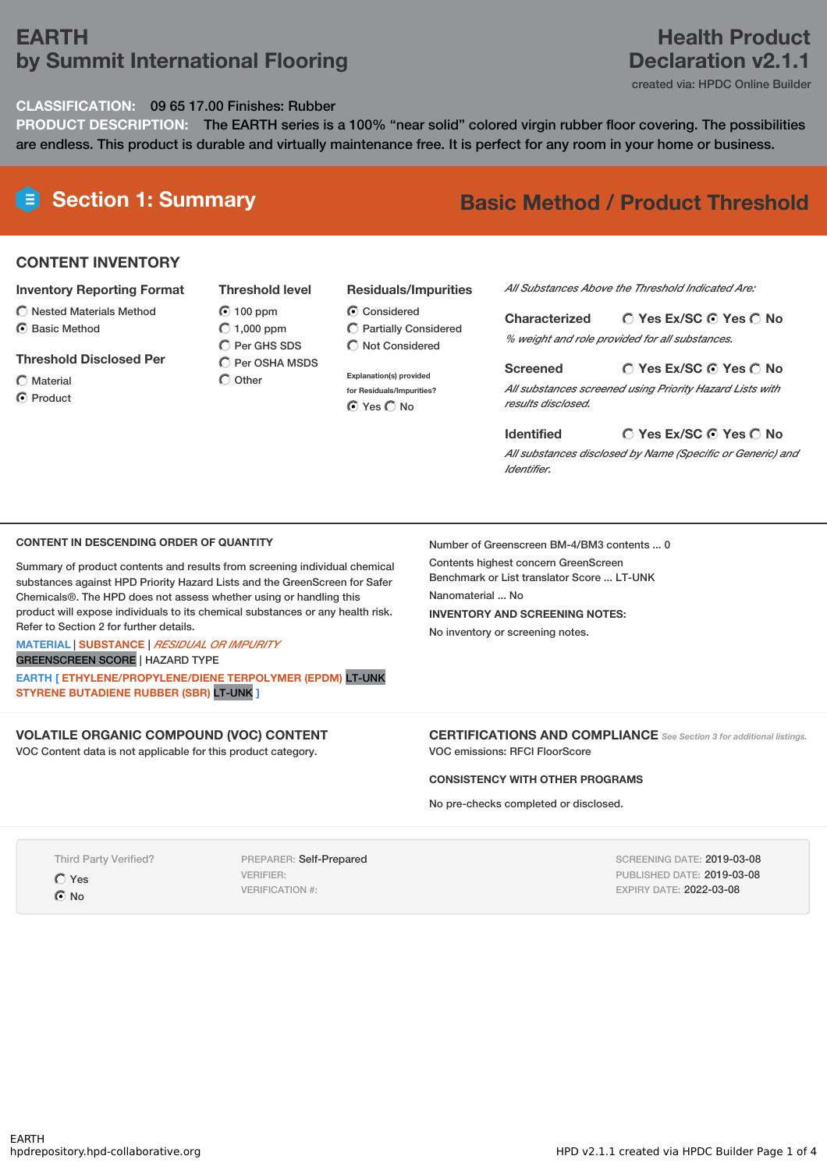## **EARTH by Summit International Flooring**

## **Health Product Declaration v2.1.1**

created via: HPDC Online Builder

**CLASSIFICATION:** 09 65 17.00 Finishes: Rubber

**PRODUCT DESCRIPTION:** The EARTH series is a 100% "near solid" colored virgin rubber floor covering. The possibilities are endless. This product is durable and virtually maintenance free. It is perfect for any room in your home or business.

# **Section 1: Summary Basic Method / Product Threshold**

### **CONTENT INVENTORY**

- **Inventory Reporting Format**
- $\bigcirc$  Nested Materials Method
- **⊙** Basic Method
- **Threshold Disclosed Per**
- $\bigcap$  Material
- **⊙** Product

**Threshold level** 100 ppm  $O$  1,000 ppm  $\overline{O}$  Per GHS SDS  $\bigcap$  Per OSHA MSDS  $\bigcap$  Other

## **Residuals/Impurities**

**C** Considered Partially Considered  $\bigcirc$  Not Considered

**Explanation(s) provided for Residuals/Impurities? O** Yes O No

#### *All Substances Above the Threshold Indicated Are:*

**Yes Ex/SC Yes No Characterized** *% weight and role provided for all substances.*

**Yes Ex/SC Yes No Screened** *All substances screened using Priority Hazard Lists with results disclosed.*

**Yes Ex/SC Yes No Identified**

*All substances disclosed by Name (Specific or Generic) and Identifier.*

#### **CONTENT IN DESCENDING ORDER OF QUANTITY**

Summary of product contents and results from screening individual chemical substances against HPD Priority Hazard Lists and the GreenScreen for Safer Chemicals®. The HPD does not assess whether using or handling this product will expose individuals to its chemical substances or any health risk. Refer to Section 2 for further details.

#### **MATERIAL** | **SUBSTANCE** | *RESIDUAL OR IMPURITY* GREENSCREEN SCORE | HAZARD TYPE

**EARTH [ ETHYLENE/PROPYLENE/DIENE TERPOLYMER (EPDM)** LT-UNK **STYRENE BUTADIENE RUBBER (SBR)** LT-UNK **]**

## **VOLATILE ORGANIC COMPOUND (VOC) CONTENT**

VOC Content data is not applicable for this product category.

Number of Greenscreen BM-4/BM3 contents ... 0

Contents highest concern GreenScreen Benchmark or List translator Score ... LT-UNK Nanomaterial ... No **INVENTORY AND SCREENING NOTES:** No inventory or screening notes.

**CERTIFICATIONS AND COMPLIANCE** *See Section <sup>3</sup> for additional listings.* VOC emissions: RFCI FloorScore

#### **CONSISTENCY WITH OTHER PROGRAMS**

No pre-checks completed or disclosed.

Third Party Verified? Yes  $\odot$  No

PREPARER: Self-Prepared VERIFIER: VERIFICATION #:

SCREENING DATE: 2019-03-08 PUBLISHED DATE: 2019-03-08 EXPIRY DATE: 2022-03-08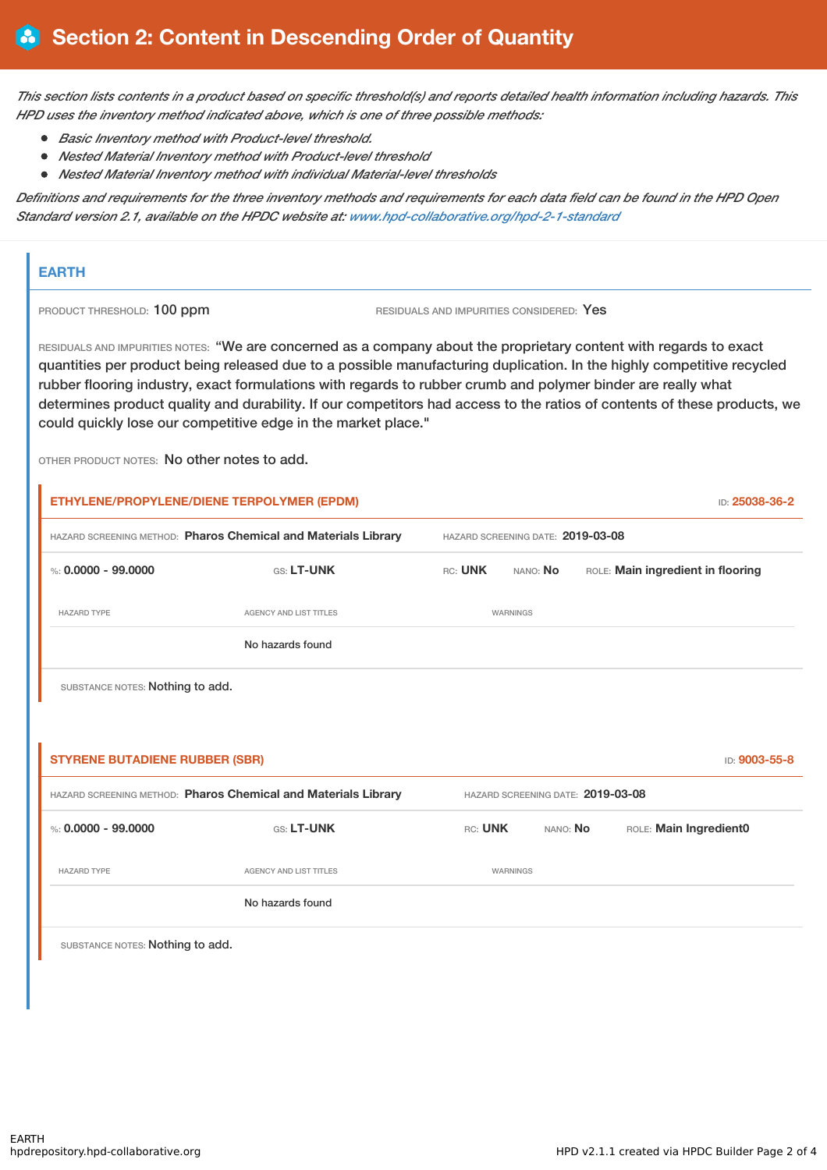This section lists contents in a product based on specific threshold(s) and reports detailed health information including hazards. This *HPD uses the inventory method indicated above, which is one of three possible methods:*

- *Basic Inventory method with Product-level threshold.*
- *Nested Material Inventory method with Product-level threshold*
- *Nested Material Inventory method with individual Material-level thresholds*

Definitions and requirements for the three inventory methods and requirements for each data field can be found in the HPD Open *Standard version 2.1, available on the HPDC website at: [www.hpd-collaborative.org/hpd-2-1-standard](http://www.hpd-collaborative.org/hpd-2-1-standard)*

### **EARTH**

 $\mathbf{r}$ 

PRODUCT THRESHOLD: 100 ppm RESIDUALS AND IMPURITIES CONSIDERED: Yes

RESIDUALS AND IMPURITIES NOTES: "We are concerned as a company about the proprietary content with regards to exact quantities per product being released due to a possible manufacturing duplication. In the highly competitive recycled rubber flooring industry, exact formulations with regards to rubber crumb and polymer binder are really what determines product quality and durability. If our competitors had access to the ratios of contents of these products, we could quickly lose our competitive edge in the market place."

OTHER PRODUCT NOTES: No other notes to add.

| HAZARD SCREENING METHOD: Pharos Chemical and Materials Library |                                                                | HAZARD SCREENING DATE: 2019-03-08 |          |                                   |  |
|----------------------------------------------------------------|----------------------------------------------------------------|-----------------------------------|----------|-----------------------------------|--|
| %: $0.0000 - 99.0000$                                          | GS: LT-UNK                                                     | RC: UNK                           | NANO: No | ROLE: Main ingredient in flooring |  |
| <b>HAZARD TYPE</b>                                             | AGENCY AND LIST TITLES                                         | WARNINGS                          |          |                                   |  |
|                                                                | No hazards found                                               |                                   |          |                                   |  |
|                                                                |                                                                |                                   |          |                                   |  |
| SUBSTANCE NOTES: Nothing to add.                               |                                                                |                                   |          |                                   |  |
|                                                                |                                                                |                                   |          |                                   |  |
|                                                                |                                                                |                                   |          | ID: 9003-55-8                     |  |
| <b>STYRENE BUTADIENE RUBBER (SBR)</b>                          | HAZARD SCREENING METHOD: Pharos Chemical and Materials Library |                                   |          | HAZARD SCREENING DATE: 2019-03-08 |  |
| %: $0.0000 - 99.0000$                                          | GS: LT-UNK                                                     | RC: UNK                           | NANO: No | ROLE: Main Ingredient0            |  |
| <b>HAZARD TYPE</b>                                             | <b>AGENCY AND LIST TITLES</b>                                  |                                   | WARNINGS |                                   |  |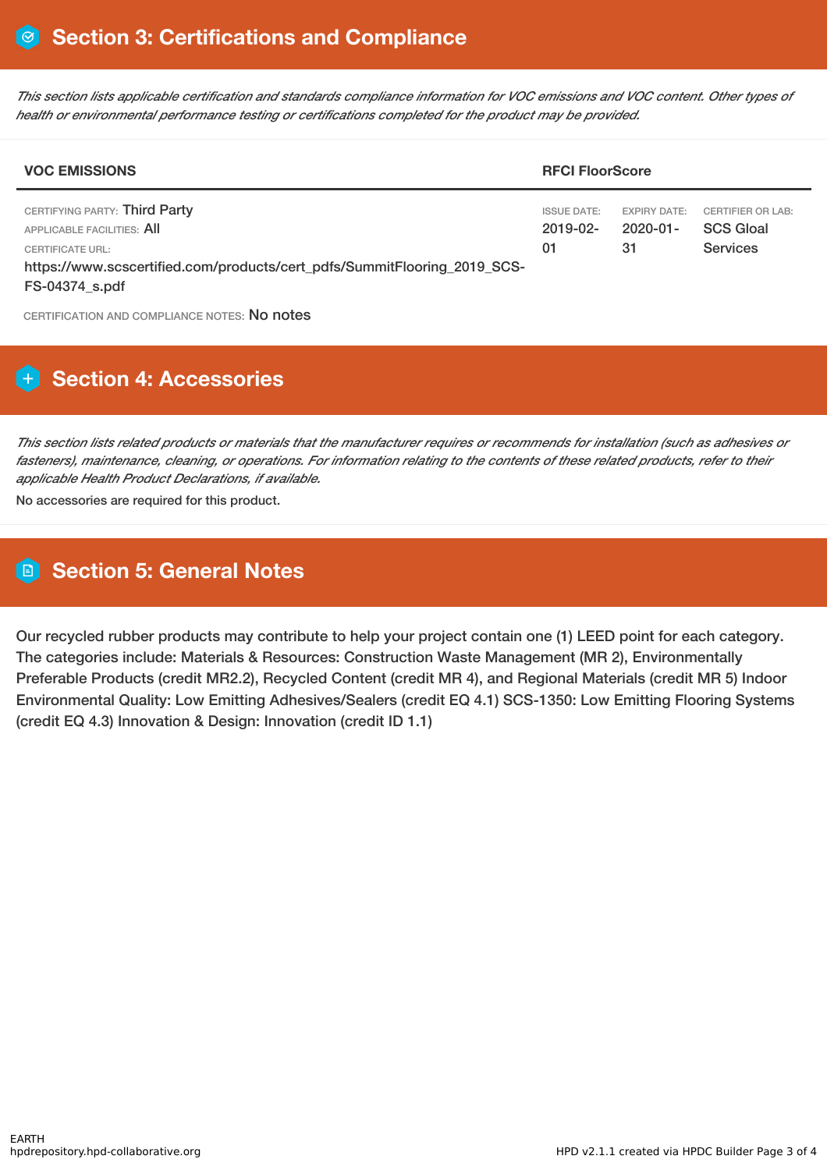This section lists applicable certification and standards compliance information for VOC emissions and VOC content. Other types of *health or environmental performance testing or certifications completed for the product may be provided.*

| <b>VOC EMISSIONS</b>                                                                                                                                                                 |                                           | <b>RFCI FloorScore</b>                      |                                                                 |  |  |
|--------------------------------------------------------------------------------------------------------------------------------------------------------------------------------------|-------------------------------------------|---------------------------------------------|-----------------------------------------------------------------|--|--|
| CERTIFYING PARTY: Third Party<br>APPLICABLE FACILITIES: AII<br><b>CERTIFICATE URL:</b><br>https://www.scscertified.com/products/cert_pdfs/SummitFlooring_2019_SCS-<br>FS-04374 s.pdf | <b>ISSUE DATE:</b><br>$2019 - 02 -$<br>01 | <b>EXPIRY DATE:</b><br>$2020 - 01 -$<br>-31 | <b>CERTIFIER OR LAB:</b><br><b>SCS Gloal</b><br><b>Services</b> |  |  |

CERTIFICATION AND COMPLIANCE NOTES: No notes

## **H** Section 4: Accessories

This section lists related products or materials that the manufacturer requires or recommends for installation (such as adhesives or fasteners), maintenance, cleaning, or operations. For information relating to the contents of these related products, refer to their *applicable Health Product Declarations, if available.*

No accessories are required for this product.

## **Section 5: General Notes**

Our recycled rubber products may contribute to help your project contain one (1) LEED point for each category. The categories include: Materials & Resources: Construction Waste Management (MR 2), Environmentally Preferable Products (credit MR2.2), Recycled Content (credit MR 4), and Regional Materials (credit MR 5) Indoor Environmental Quality: Low Emitting Adhesives/Sealers (credit EQ 4.1) SCS-1350: Low Emitting Flooring Systems (credit EQ 4.3) Innovation & Design: Innovation (credit ID 1.1)